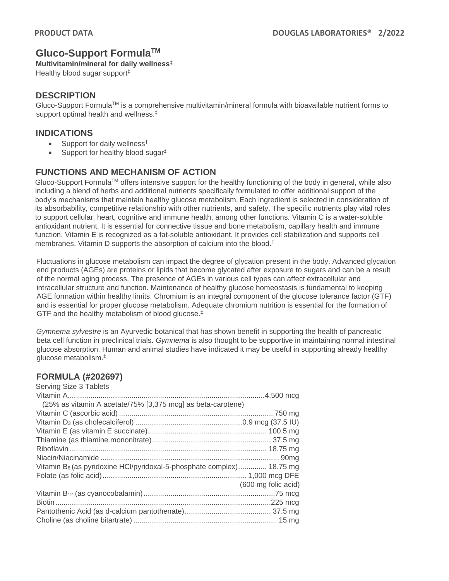# **Gluco-Support FormulaTM**

**Multivitamin/mineral for daily wellness**‡

Healthy blood sugar support‡

### **DESCRIPTION**

Gluco-Support FormulaTM is a comprehensive multivitamin/mineral formula with bioavailable nutrient forms to support optimal health and wellness. ‡

### **INDICATIONS**

- Support for daily wellness<sup>‡</sup>
- Support for healthy blood sugar $<sup>‡</sup>$ </sup>

## **FUNCTIONS AND MECHANISM OF ACTION**

Gluco-Support FormulaTM offers intensive support for the healthy functioning of the body in general, while also including a blend of herbs and additional nutrients specifically formulated to offer additional support of the body's mechanisms that maintain healthy glucose metabolism. Each ingredient is selected in consideration of its absorbability, competitive relationship with other nutrients, and safety. The specific nutrients play vital roles to support cellular, heart, cognitive and immune health, among other functions. Vitamin C is a water-soluble antioxidant nutrient. It is essential for connective tissue and bone metabolism, capillary health and immune function. Vitamin E is recognized as a fat-soluble antioxidant. It provides cell stabilization and supports cell membranes. Vitamin D supports the absorption of calcium into the blood. ‡

Fluctuations in glucose metabolism can impact the degree of glycation present in the body. Advanced glycation end products (AGEs) are proteins or lipids that become glycated after exposure to sugars and can be a result of the normal aging process. The presence of AGEs in various cell types can affect extracellular and intracellular structure and function. Maintenance of healthy glucose homeostasis is fundamental to keeping AGE formation within healthy limits. Chromium is an integral component of the glucose tolerance factor (GTF) and is essential for proper glucose metabolism. Adequate chromium nutrition is essential for the formation of GTF and the healthy metabolism of blood glucose.‡

*Gymnema sylvestre* is an Ayurvedic botanical that has shown benefit in supporting the health of pancreatic beta cell function in preclinical trials. *Gymnema* is also thought to be supportive in maintaining normal intestinal glucose absorption. Human and animal studies have indicated it may be useful in supporting already healthy glucose metabolism.‡

#### **FORMULA (#202697)** Serving Size 3 Tablets

| Serving Size 3 Tablets                                                            |                     |
|-----------------------------------------------------------------------------------|---------------------|
|                                                                                   |                     |
| (25% as vitamin A acetate/75% [3,375 mcg] as beta-carotene)                       |                     |
|                                                                                   |                     |
|                                                                                   |                     |
|                                                                                   |                     |
|                                                                                   |                     |
|                                                                                   |                     |
|                                                                                   |                     |
| Vitamin B <sub>6</sub> (as pyridoxine HCl/pyridoxal-5-phosphate complex) 18.75 mg |                     |
|                                                                                   |                     |
|                                                                                   | (600 mg folic acid) |
|                                                                                   |                     |
|                                                                                   |                     |
|                                                                                   |                     |
|                                                                                   |                     |
|                                                                                   |                     |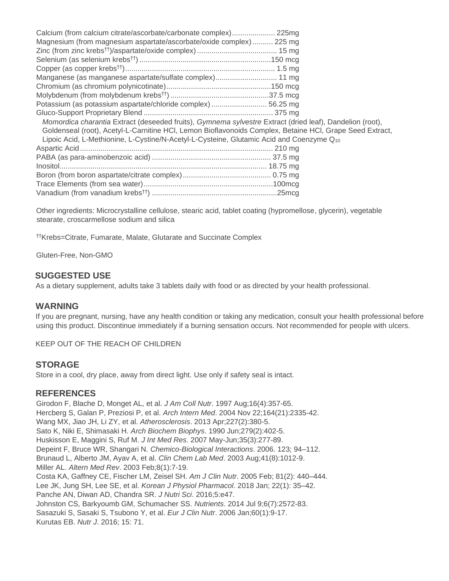| Calcium (from calcium citrate/ascorbate/carbonate complex) 225mg                                         |  |
|----------------------------------------------------------------------------------------------------------|--|
| Magnesium (from magnesium aspartate/ascorbate/oxide complex)  225 mg                                     |  |
|                                                                                                          |  |
|                                                                                                          |  |
|                                                                                                          |  |
| Manganese (as manganese aspartate/sulfate complex) 11 mg                                                 |  |
|                                                                                                          |  |
|                                                                                                          |  |
| Potassium (as potassium aspartate/chloride complex)  56.25 mg                                            |  |
|                                                                                                          |  |
| Momordica charantia Extract (deseeded fruits), Gymnema sylvestre Extract (dried leaf), Dandelion (root), |  |
| Goldenseal (root), Acetyl-L-Carnitine HCl, Lemon Bioflavonoids Complex, Betaine HCl, Grape Seed Extract, |  |
| Lipoic Acid, L-Methionine, L-Cystine/N-Acetyl-L-Cysteine, Glutamic Acid and Coenzyme Q10                 |  |
|                                                                                                          |  |
|                                                                                                          |  |
|                                                                                                          |  |
|                                                                                                          |  |
|                                                                                                          |  |
|                                                                                                          |  |

Other ingredients: Microcrystalline cellulose, stearic acid, tablet coating (hypromellose, glycerin), vegetable stearate, croscarmellose sodium and silica

††Krebs=Citrate, Fumarate, Malate, Glutarate and Succinate Complex

Gluten-Free, Non-GMO

#### **SUGGESTED USE**

As a dietary supplement, adults take 3 tablets daily with food or as directed by your health professional.

#### **WARNING**

If you are pregnant, nursing, have any health condition or taking any medication, consult your health professional before using this product. Discontinue immediately if a burning sensation occurs. Not recommended for people with ulcers.

KEEP OUT OF THE REACH OF CHILDREN

#### **STORAGE**

Store in a cool, dry place, away from direct light. Use only if safety seal is intact.

#### **REFERENCES**

Girodon F, Blache D, Monget AL, et al. *J Am Coll Nutr*. 1997 Aug;16(4):357-65. Hercberg S, Galan P, Preziosi P, et al. *Arch Intern Med*. 2004 Nov 22;164(21):2335-42. Wang MX, Jiao JH, Li ZY, et al. *Atherosclerosis*. 2013 Apr;227(2):380-5. Sato K, Niki E, Shimasaki H. *Arch Biochem Biophys*. 1990 Jun;279(2):402-5. Huskisson E, Maggini S, Ruf M. *J Int Med Res*. 2007 May-Jun;35(3):277-89. Depeint F, Bruce WR, Shangari N. *Chemico-Biological Interactions*. 2006. 123; 94–112. Brunaud L, Alberto JM, Ayav A, et al. *Clin Chem Lab Med*. 2003 Aug;41(8):1012-9. Miller AL. *Altern Med Rev*. 2003 Feb;8(1):7-19. Costa KA, Gaffney CE, Fischer LM, Zeisel SH. *Am J Clin Nutr*. 2005 Feb; 81(2): 440–444. Lee JK, Jung SH, Lee SE, et al. *Korean J Physiol Pharmacol*. 2018 Jan; 22(1): 35–42. Panche AN, Diwan AD, Chandra SR. *J Nutri Sci*. 2016;5:e47. Johnston CS, Barkyoumb GM, Schumacher SS. *Nutrients*. 2014 Jul 9;6(7):2572-83. Sasazuki S, Sasaki S, Tsubono Y, et al. *Eur J Clin Nutr*. 2006 Jan;60(1):9-17. Kurutas EB. *Nutr J*. 2016; 15: 71.